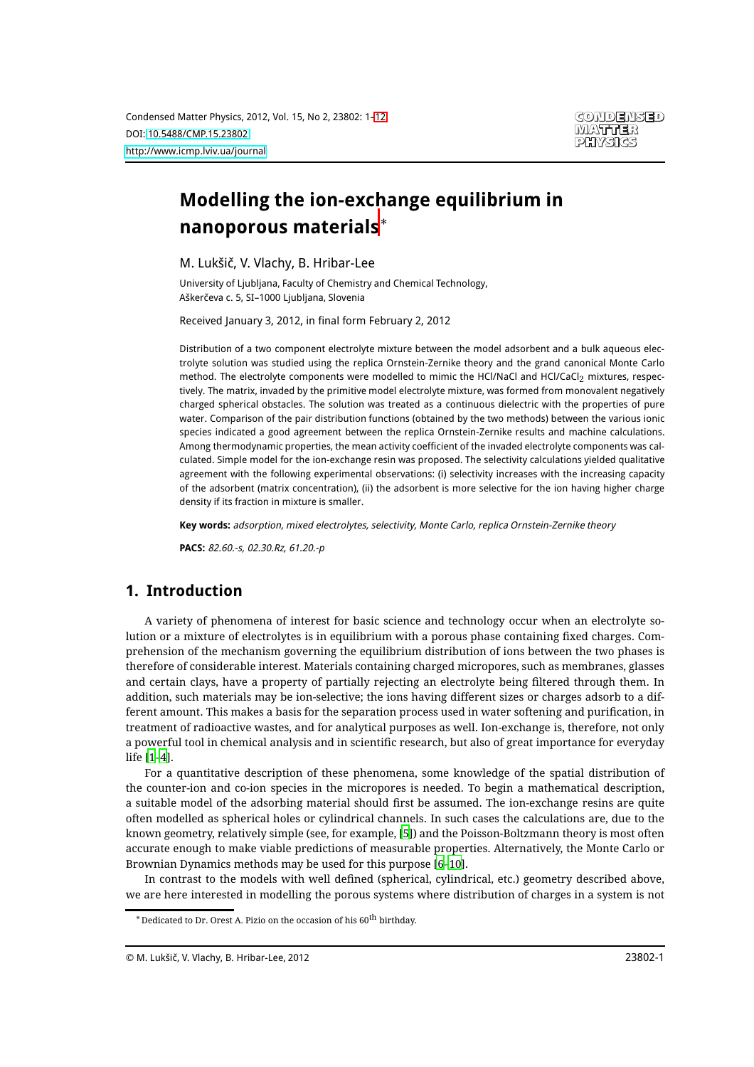# **Modelling the ion-exchange equilibrium in nanoporous materials**<sup>∗</sup>

M. Lukšič, V. Vlachy, B. Hribar-Lee

University of Ljubljana, Faculty of Chemistry and Chemical Technology, Aškerčeva c. 5, SI–1000 Ljubljana, Slovenia

Received January 3, 2012, in final form February 2, 2012

Distribution of a two component electrolyte mixture between the model adsorbent and a bulk aqueous electrolyte solution was studied using the replica Ornstein-Zernike theory and the grand canonical Monte Carlo method. The electrolyte components were modelled to mimic the HCl/NaCl and HCl/CaCl<sub>2</sub> mixtures, respectively. The matrix, invaded by the primitive model electrolyte mixture, was formed from monovalent negatively charged spherical obstacles. The solution was treated as a continuous dielectric with the properties of pure water. Comparison of the pair distribution functions (obtained by the two methods) between the various ionic species indicated a good agreement between the replica Ornstein-Zernike results and machine calculations. Among thermodynamic properties, the mean activity coefficient of the invaded electrolyte components was calculated. Simple model for the ion-exchange resin was proposed. The selectivity calculations yielded qualitative agreement with the following experimental observations: (i) selectivity increases with the increasing capacity of the adsorbent (matrix concentration), (ii) the adsorbent is more selective for the ion having higher charge density if its fraction in mixture is smaller.

**Key words:** adsorption, mixed electrolytes, selectivity, Monte Carlo, replica Ornstein-Zernike theory

**PACS:** 82.60.-s, 02.30.Rz, 61.20.-p

## **1. Introduction**

A variety of phenomena of interest for basic science and technology occur when an electrolyte solution or a mixture of electrolytes is in equilibrium with a porous phase containing fixed charges. Comprehension of the mechanism governing the equilibrium distribution of ions between the two phases is therefore of considerable interest. Materials containing charged micropores, such as membranes, glasses and certain clays, have a property of partially rejecting an electrolyte being filtered through them. In addition, such materials may be ion-selective; the ions having different sizes or charges adsorb to a different amount. This makes a basis for the separation process used in water softening and purification, in treatment of radioactive wastes, and for analytical purposes as well. Ion-exchange is, therefore, not only a powerful tool in chemical analysis and in scientific research, but also of great importance for everyday life [\[1](#page-10-1)[–4\]](#page-10-2).

For a quantitative description of these phenomena, some knowledge of the spatial distribution of the counter-ion and co-ion species in the micropores is needed. To begin a mathematical description, a suitable model of the adsorbing material should first be assumed. The ion-exchange resins are quite often modelled as spherical holes or cylindrical channels. In such cases the calculations are, due to the known geometry, relatively simple (see, for example, [\[5\]](#page-10-3)) and the Poisson-Boltzmann theory is most often accurate enough to make viable predictions of measurable properties. Alternatively, the Monte Carlo or Brownian Dynamics methods may be used for this purpose [\[6](#page-10-4)[–10\]](#page-10-5).

In contrast to the models with well defined (spherical, cylindrical, etc.) geometry described above, we are here interested in modelling the porous systems where distribution of charges in a system is not

 $^*$ Dedicated to Dr. Orest A. Pizio on the occasion of his  $60^{\rm th}$  birthday.

<sup>©</sup> M. Lukšič, V. Vlachy, B. Hribar-Lee, 2012 23802-1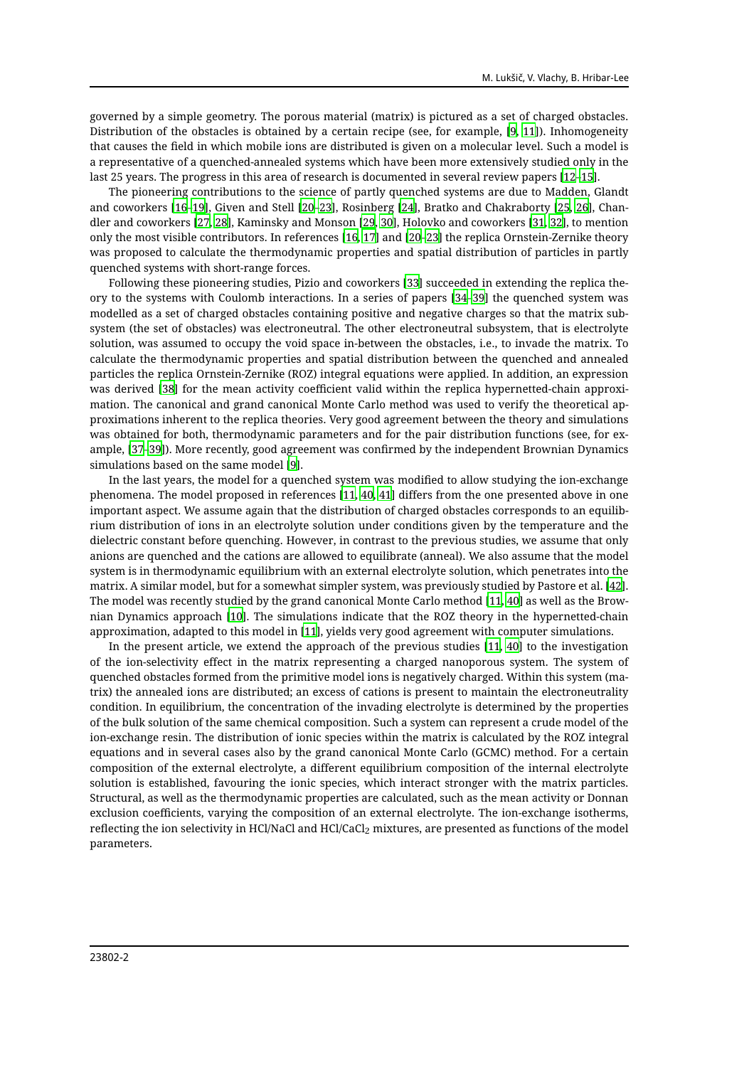governed by a simple geometry. The porous material (matrix) is pictured as a set of charged obstacles. Distribution of the obstacles is obtained by a certain recipe (see, for example, [\[9,](#page-10-6) [11](#page-10-7)]). Inhomogeneity that causes the field in which mobile ions are distributed is given on a molecular level. Such a model is a representative of a quenched-annealed systems which have been more extensively studied only in the last 25 years. The progress in this area of research is documented in several review papers [\[12](#page-10-8)[–15](#page-10-9)].

The pioneering contributions to the science of partly quenched systems are due to Madden, Glandt and coworkers [\[16](#page-10-10)[–19\]](#page-10-11), Given and Stell [\[20](#page-10-12)[–23\]](#page-10-13), Rosinberg [\[24\]](#page-10-14), Bratko and Chakraborty [\[25,](#page-10-15) [26](#page-10-16)], Chandler and coworkers [\[27](#page-10-17), [28\]](#page-10-18), Kaminsky and Monson [\[29](#page-10-19), [30](#page-10-20)], Holovko and coworkers [\[31,](#page-10-21) [32\]](#page-10-22), to mention only the most visible contributors. In references [\[16](#page-10-10), [17](#page-10-23)] and [\[20](#page-10-12)[–23](#page-10-13)] the replica Ornstein-Zernike theory was proposed to calculate the thermodynamic properties and spatial distribution of particles in partly quenched systems with short-range forces.

Following these pioneering studies, Pizio and coworkers [\[33\]](#page-11-0) succeeded in extending the replica theory to the systems with Coulomb interactions. In a series of papers [\[34](#page-11-1)[–39\]](#page-11-2) the quenched system was modelled as a set of charged obstacles containing positive and negative charges so that the matrix subsystem (the set of obstacles) was electroneutral. The other electroneutral subsystem, that is electrolyte solution, was assumed to occupy the void space in-between the obstacles, i.e., to invade the matrix. To calculate the thermodynamic properties and spatial distribution between the quenched and annealed particles the replica Ornstein-Zernike (ROZ) integral equations were applied. In addition, an expression was derived [\[38\]](#page-11-3) for the mean activity coefficient valid within the replica hypernetted-chain approximation. The canonical and grand canonical Monte Carlo method was used to verify the theoretical approximations inherent to the replica theories. Very good agreement between the theory and simulations was obtained for both, thermodynamic parameters and for the pair distribution functions (see, for example, [\[37](#page-11-4)[–39](#page-11-2)]). More recently, good agreement was confirmed by the independent Brownian Dynamics simulations based on the same model [\[9\]](#page-10-6).

In the last years, the model for a quenched system was modified to allow studying the ion-exchange phenomena. The model proposed in references [\[11](#page-10-7), [40,](#page-11-5) [41\]](#page-11-6) differs from the one presented above in one important aspect. We assume again that the distribution of charged obstacles corresponds to an equilibrium distribution of ions in an electrolyte solution under conditions given by the temperature and the dielectric constant before quenching. However, in contrast to the previous studies, we assume that only anions are quenched and the cations are allowed to equilibrate (anneal). We also assume that the model system is in thermodynamic equilibrium with an external electrolyte solution, which penetrates into the matrix. A similar model, but for a somewhat simpler system, was previously studied by Pastore et al. [\[42\]](#page-11-7). The model was recently studied by the grand canonical Monte Carlo method [\[11,](#page-10-7) [40\]](#page-11-5) as well as the Brownian Dynamics approach [\[10](#page-10-5)]. The simulations indicate that the ROZ theory in the hypernetted-chain approximation, adapted to this model in [\[11\]](#page-10-7), yields very good agreement with computer simulations.

In the present article, we extend the approach of the previous studies [\[11,](#page-10-7) [40](#page-11-5)] to the investigation of the ion-selectivity effect in the matrix representing a charged nanoporous system. The system of quenched obstacles formed from the primitive model ions is negatively charged. Within this system (matrix) the annealed ions are distributed; an excess of cations is present to maintain the electroneutrality condition. In equilibrium, the concentration of the invading electrolyte is determined by the properties of the bulk solution of the same chemical composition. Such a system can represent a crude model of the ion-exchange resin. The distribution of ionic species within the matrix is calculated by the ROZ integral equations and in several cases also by the grand canonical Monte Carlo (GCMC) method. For a certain composition of the external electrolyte, a different equilibrium composition of the internal electrolyte solution is established, favouring the ionic species, which interact stronger with the matrix particles. Structural, as well as the thermodynamic properties are calculated, such as the mean activity or Donnan exclusion coefficients, varying the composition of an external electrolyte. The ion-exchange isotherms, reflecting the ion selectivity in HCl/NaCl and HCl/CaCl<sub>2</sub> mixtures, are presented as functions of the model parameters.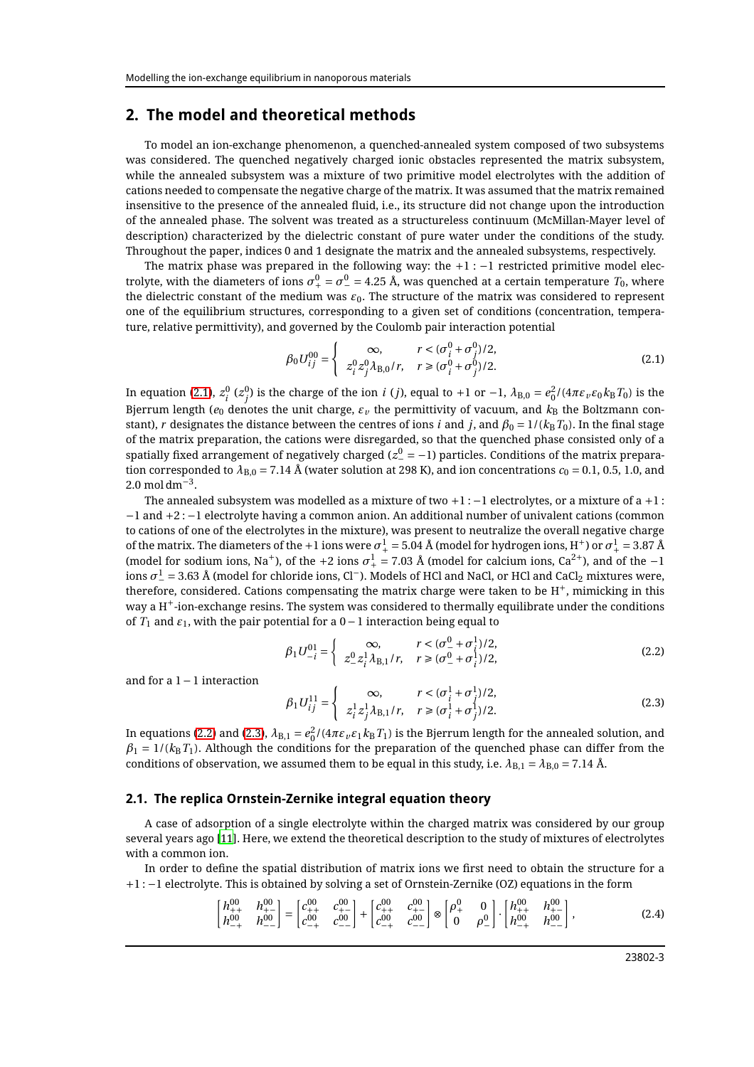## **2. The model and theoretical methods**

To model an ion-exchange phenomenon, a quenched-annealed system composed of two subsystems was considered. The quenched negatively charged ionic obstacles represented the matrix subsystem, while the annealed subsystem was a mixture of two primitive model electrolytes with the addition of cations needed to compensate the negative charge of the matrix. It was assumed that the matrix remained insensitive to the presence of the annealed fluid, i.e., its structure did not change upon the introduction of the annealed phase. The solvent was treated as a structureless continuum (McMillan-Mayer level of description) characterized by the dielectric constant of pure water under the conditions of the study. Throughout the paper, indices 0 and 1 designate the matrix and the annealed subsystems, respectively.

The matrix phase was prepared in the following way: the  $+1:-1$  restricted primitive model electrolyte, with the diameters of ions  $\sigma_+^0=\sigma_-^0=$  4.25 Å, was quenched at a certain temperature  $T_0$ , where the dielectric constant of the medium was *ε*0. The structure of the matrix was considered to represent one of the equilibrium structures, corresponding to a given set of conditions (concentration, temperature, relative permittivity), and governed by the Coulomb pair interaction potential

<span id="page-2-0"></span>
$$
\beta_0 U_{ij}^{00} = \begin{cases}\n\infty, & r < (\sigma_i^0 + \sigma_j^0)/2, \\
z_i^0 z_j^0 \lambda_{B,0}/r, & r \geq (\sigma_i^0 + \sigma_j^0)/2.\n\end{cases}
$$
\n(2.1)

In equation [\(2.1\)](#page-2-0),  $z_i^0$  ( $z_j^0$ ) is the charge of the ion *i* (*j*), equal to +1 or −1,  $\lambda_{\rm B,0} = e_0^2/(4\pi\varepsilon_v \varepsilon_0 k_{\rm B} T_0)$  is the Bjerrum length ( $e_0$  denotes the unit charge,  $\varepsilon_\nu$  the permittivity of vacuum, and  $k_\text{B}$  the Boltzmann constant), *r* designates the distance between the centres of ions *i* and *j*, and  $\beta_0 = 1/(k_B T_0)$ . In the final stage of the matrix preparation, the cations were disregarded, so that the quenched phase consisted only of a spatially fixed arrangement of negatively charged ( $z_-^0 = -1$ ) particles. Conditions of the matrix preparation corresponded to  $\lambda_{B,0} = 7.14$  Å (water solution at 298 K), and ion concentrations  $c_0 = 0.1, 0.5, 1.0,$  and  $2.0 \text{ mol dm}^{-3}$ .

The annealed subsystem was modelled as a mixture of two  $+1:-1$  electrolytes, or a mixture of a  $+1$  : −1 and +2 : −1 electrolyte having a common anion. An additional number of univalent cations (common to cations of one of the electrolytes in the mixture), was present to neutralize the overall negative charge of the matrix. The diameters of the +1 ions were  $\sigma^1_+=5.04$  Å (model for hydrogen ions, H<sup>+</sup>) or  $\sigma^1_+=3.87$  Å (model for sodium ions, Na<sup>+</sup>), of the +2 ions  $\sigma_+^1$  = 7.03 Å (model for calcium ions, Ca<sup>2+</sup>), and of the −1 ions  $\sigma_-^1$  = 3.63 Å (model for chloride ions, Cl<sup>−</sup>). Models of HCl and NaCl, or HCl and CaCl<sub>2</sub> mixtures were, therefore, considered. Cations compensating the matrix charge were taken to be  $H^+$ , mimicking in this way a  $H^+$ -ion-exchange resins. The system was considered to thermally equilibrate under the conditions of  $T_1$  and  $\varepsilon_1$ , with the pair potential for a  $0-1$  interaction being equal to

<span id="page-2-1"></span>
$$
\beta_1 U_{-i}^{01} = \begin{cases}\n\infty, & r < (\sigma_-^0 + \sigma_i^1)/2, \\
z_-^0 z_i^1 \lambda_{B,1}/r, & r \ge (\sigma_-^0 + \sigma_i^1)/2,\n\end{cases}
$$
\n(2.2)

and for a 1−1 interaction

<span id="page-2-2"></span>
$$
\beta_1 U_{ij}^{11} = \begin{cases}\n\infty, & r < (\sigma_i^1 + \sigma_j^1)/2, \\
z_i^1 z_j^1 \lambda_{B,1}/r, & r \ge (\sigma_i^1 + \sigma_j^1)/2.\n\end{cases}
$$
\n(2.3)

In equations [\(2.2\)](#page-2-1) and [\(2.3\)](#page-2-2),  $\lambda_{\rm B,1}=e_0^2/(4\pi\varepsilon_v\varepsilon_1 k_{\rm B}T_1)$  is the Bjerrum length for the annealed solution, and  $\beta_1 = 1/(k_B T_1)$ . Although the conditions for the preparation of the quenched phase can differ from the conditions of observation, we assumed them to be equal in this study, i.e.  $\lambda_{\text{B},1} = \lambda_{\text{B},0} = 7.14$  Å.

#### **2.1. The replica Ornstein-Zernike integral equation theory**

A case of adsorption of a single electrolyte within the charged matrix was considered by our group several years ago [\[11\]](#page-10-7). Here, we extend the theoretical description to the study of mixtures of electrolytes with a common ion.

In order to define the spatial distribution of matrix ions we first need to obtain the structure for a +1 : −1 electrolyte. This is obtained by solving a set of Ornstein-Zernike (OZ) equations in the form

<span id="page-2-3"></span>
$$
\begin{bmatrix} h_{++}^{00} & h_{+-}^{00} \\ h_{-+}^{00} & h_{--}^{00} \end{bmatrix} = \begin{bmatrix} c_{++}^{00} & c_{+-}^{00} \\ c_{-+}^{00} & c_{--}^{00} \end{bmatrix} + \begin{bmatrix} c_{++}^{00} & c_{+-}^{00} \\ c_{-+}^{00} & c_{--}^{00} \end{bmatrix} \otimes \begin{bmatrix} \rho_{+}^{0} & 0 \\ 0 & \rho_{-}^{0} \end{bmatrix} \cdot \begin{bmatrix} h_{++}^{00} & h_{+-}^{00} \\ h_{-+}^{00} & h_{--}^{00} \end{bmatrix},
$$
(2.4)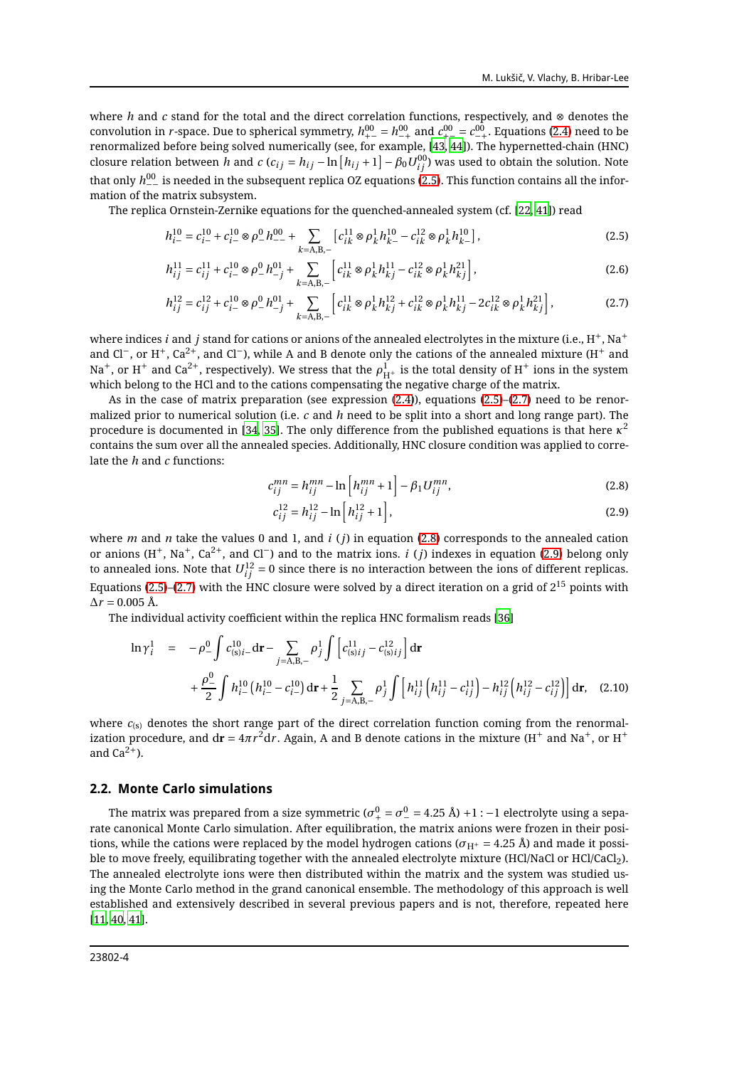where *h* and *c* stand for the total and the direct correlation functions, respectively, and ⊗ denotes the convolution in *r*-space. Due to spherical symmetry,  $h^{00}_{+-}=h^{00}_{-+}$  and  $c^{00}_{+-}=c^{00}_{-+}.$  Equations [\(2.4\)](#page-2-3) need to be renormalized before being solved numerically (see, for example, [\[43](#page-11-8), [44](#page-11-9)]). The hypernetted-chain (HNC) closure relation between  $h$  and  $c$  ( $c_{ij} = h_{ij} - \ln\left[h_{ij} + 1\right] - \beta_0 U^{00}_{ij}$ ) was used to obtain the solution. Note that only  $h^{00}_{--}$  is needed in the subsequent replica OZ equations [\(2.5\)](#page-3-0). This function contains all the information of the matrix subsystem.

The replica Ornstein-Zernike equations for the quenched-annealed system (cf. [\[22,](#page-10-24) [41\]](#page-11-6)) read

$$
h_{i-}^{10} = c_{i-}^{10} + c_{i-}^{10} \otimes \rho_{-}^{0} h_{--}^{00} + \sum_{k=A,B,-} \left[ c_{ik}^{11} \otimes \rho_{k}^{1} h_{k-}^{10} - c_{ik}^{12} \otimes \rho_{k}^{1} h_{k-}^{10} \right],
$$
 (2.5)

$$
h_{ij}^{11} = c_{ij}^{11} + c_{i-}^{10} \otimes \rho_{-}^{0} h_{-j}^{01} + \sum_{k=A,B,-} \left[ c_{ik}^{11} \otimes \rho_{k}^{1} h_{kj}^{11} - c_{ik}^{12} \otimes \rho_{k}^{1} h_{kj}^{21} \right],
$$
 (2.6)

$$
h_{ij}^{12} = c_{ij}^{12} + c_{i-}^{10} \otimes \rho_{-}^{0} h_{-j}^{01} + \sum_{k=A,B,-} \left[ c_{ik}^{11} \otimes \rho_{k}^{1} h_{kj}^{12} + c_{ik}^{12} \otimes \rho_{k}^{1} h_{kj}^{11} - 2c_{ik}^{12} \otimes \rho_{k}^{1} h_{kj}^{21} \right],
$$
 (2.7)

where indices *i* and *j* stand for cations or anions of the annealed electrolytes in the mixture (i.e.,  $H^+$ , Na<sup>+</sup> and Cl<sup>−</sup>, or H<sup>+</sup>, Ca<sup>2+</sup>, and Cl<sup>−</sup>), while A and B denote only the cations of the annealed mixture (H<sup>+</sup> and Na<sup>+</sup>, or H<sup>+</sup> and Ca<sup>2+</sup>, respectively). We stress that the  $\rho^1_{H^+}$  is the total density of H<sup>+</sup> ions in the system which belong to the HCl and to the cations compensating the negative charge of the matrix.

As in the case of matrix preparation (see expression [\(2.4\)](#page-2-3)), equations [\(2.5\)](#page-3-0)–[\(2.7\)](#page-3-1) need to be renormalized prior to numerical solution (i.e. *c* and *h* need to be split into a short and long range part). The procedure is documented in [\[34](#page-11-1), [35\]](#page-11-10). The only difference from the published equations is that here  $\kappa^2$ contains the sum over all the annealed species. Additionally, HNC closure condition was applied to correlate the *h* and *c* functions:

<span id="page-3-1"></span><span id="page-3-0"></span>
$$
c_{ij}^{mn} = h_{ij}^{mn} - \ln \left[ h_{ij}^{mn} + 1 \right] - \beta_1 U_{ij}^{mn}, \tag{2.8}
$$

<span id="page-3-3"></span><span id="page-3-2"></span>
$$
c_{ij}^{12} = h_{ij}^{12} - \ln\left[h_{ij}^{12} + 1\right],\tag{2.9}
$$

where *m* and *n* take the values 0 and 1, and *i* (*j*) in equation [\(2.8\)](#page-3-2) corresponds to the annealed cation or anions (H+, Na+, Ca2+, and Cl−) and to the matrix ions. *i* (*j*) indexes in equation [\(2.9\)](#page-3-3) belong only to annealed ions. Note that  $U^{12}_{ij}=0$  since there is no interaction between the ions of different replicas. Equations [\(2.5\)](#page-3-0)–[\(2.7\)](#page-3-1) with the HNC closure were solved by a direct iteration on a grid of  $2^{15}$  points with  $\Delta r = 0.005$  Å.

The individual activity coefficient within the replica HNC formalism reads [\[36](#page-11-11)]

$$
\ln \gamma_i^1 = -\rho_-^0 \int c_{(s)i}^{10} d\mathbf{r} - \sum_{j=A,B,-} \rho_j^1 \int \left[ c_{(s)ij}^{11} - c_{(s)ij}^{12} \right] d\mathbf{r} + \frac{\rho_-^0}{2} \int h_{i-}^{10} \left( h_{i-}^{10} - c_{i-}^{10} \right) d\mathbf{r} + \frac{1}{2} \sum_{j=A,B,-} \rho_j^1 \int \left[ h_{ij}^{11} \left( h_{ij}^{11} - c_{ij}^{11} \right) - h_{ij}^{12} \left( h_{ij}^{12} - c_{ij}^{12} \right) \right] d\mathbf{r}, \quad (2.10)
$$

where  $c_{(s)}$  denotes the short range part of the direct correlation function coming from the renormalization procedure, and d $\mathbf{r} = 4\pi r^2 \mathrm{d}r$ . Again, A and B denote cations in the mixture (H<sup>+</sup> and Na<sup>+</sup>, or H<sup>+</sup> and  $Ca^{2+}$ ).

#### **2.2. Monte Carlo simulations**

The matrix was prepared from a size symmetric ( $\sigma_+^0=\sigma_-^0=$  4.25 Å) +1 :  $-1$  electrolyte using a separate canonical Monte Carlo simulation. After equilibration, the matrix anions were frozen in their positions, while the cations were replaced by the model hydrogen cations ( $\sigma_{H^+}$  = 4.25 Å) and made it possible to move freely, equilibrating together with the annealed electrolyte mixture (HCl/NaCl or HCl/CaCl<sub>2</sub>). The annealed electrolyte ions were then distributed within the matrix and the system was studied using the Monte Carlo method in the grand canonical ensemble. The methodology of this approach is well established and extensively described in several previous papers and is not, therefore, repeated here [\[11,](#page-10-7) [40](#page-11-5), [41](#page-11-6)].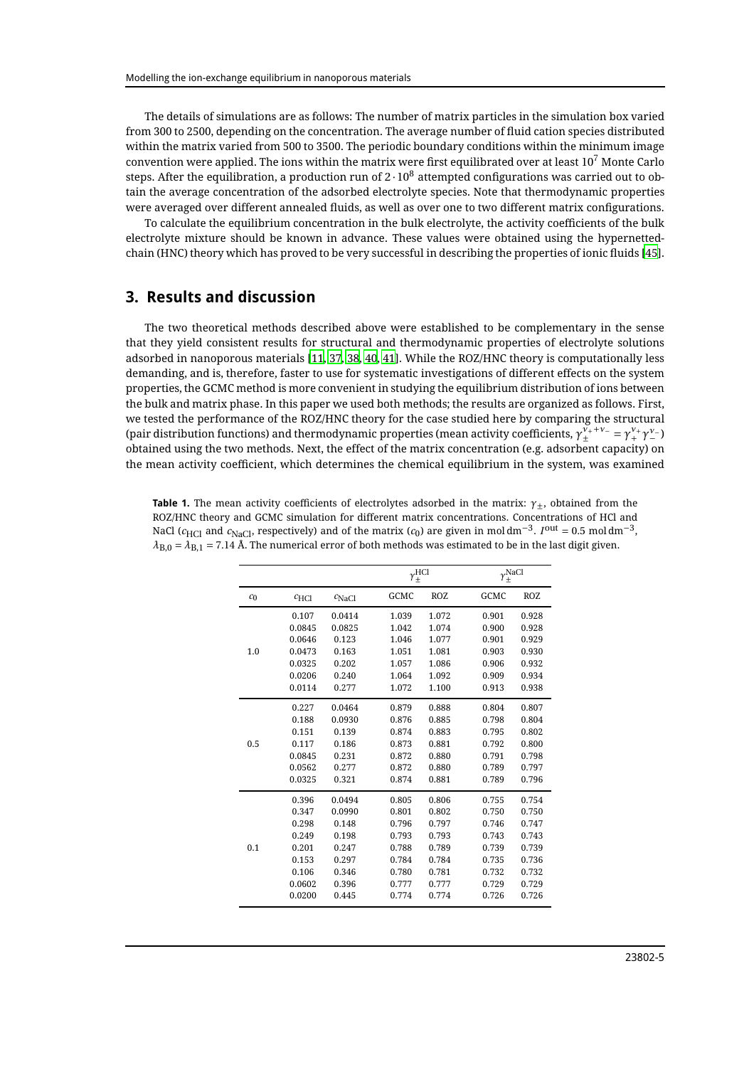The details of simulations are as follows: The number of matrix particles in the simulation box varied from 300 to 2500, depending on the concentration. The average number of fluid cation species distributed within the matrix varied from 500 to 3500. The periodic boundary conditions within the minimum image convention were applied. The ions within the matrix were first equilibrated over at least  $10^7$  Monte Carlo steps. After the equilibration, a production run of  $2 \cdot 10^8$  attempted configurations was carried out to obtain the average concentration of the adsorbed electrolyte species. Note that thermodynamic properties were averaged over different annealed fluids, as well as over one to two different matrix configurations.

To calculate the equilibrium concentration in the bulk electrolyte, the activity coefficients of the bulk electrolyte mixture should be known in advance. These values were obtained using the hypernettedchain (HNC) theory which has proved to be very successful in describing the properties of ionic fluids [\[45\]](#page-11-12).

## **3. Results and discussion**

The two theoretical methods described above were established to be complementary in the sense that they yield consistent results for structural and thermodynamic properties of electrolyte solutions adsorbed in nanoporous materials [\[11](#page-10-7), [37,](#page-11-4) [38,](#page-11-3) [40,](#page-11-5) [41\]](#page-11-6). While the ROZ/HNC theory is computationally less demanding, and is, therefore, faster to use for systematic investigations of different effects on the system properties, the GCMC method is more convenient in studying the equilibrium distribution of ions between the bulk and matrix phase. In this paper we used both methods; the results are organized as follows. First, we tested the performance of the ROZ/HNC theory for the case studied here by comparing the structural (pair distribution functions) and thermodynamic properties (mean activity coefficients,  $\gamma_+^{v_++v_-} = \gamma_+^{v_+}\gamma_-^{v_-}$ obtained using the two methods. Next, the effect of the matrix concentration (e.g. adsorbent capacity) on the mean activity coefficient, which determines the chemical equilibrium in the system, was examined

<span id="page-4-0"></span>

| <b>Table 1.</b> The mean activity coefficients of electrolytes adsorbed in the matrix: $\gamma_+$ , obtained from the                                |
|------------------------------------------------------------------------------------------------------------------------------------------------------|
| ROZ/HNC theory and GCMC simulation for different matrix concentrations. Concentrations of HCl and                                                    |
| NaCl ( $c_{HCl}$ and $c_{NaCl}$ , respectively) and of the matrix ( $c_0$ ) are given in moldm <sup>-3</sup> . $I^{out} = 0.5$ moldm <sup>-3</sup> , |
| $\lambda_{\rm R,0} = \lambda_{\rm R,1} = 7.14$ Å. The numerical error of both methods was estimated to be in the last digit given.                   |

|       |                  |                   |       | $\gamma_\pm^{\rm HCl}$ |       | $\gamma_\pm^{\rm NaCl}$ |  |
|-------|------------------|-------------------|-------|------------------------|-------|-------------------------|--|
| $c_0$ | $c_{\text{HCl}}$ | $c_{\text{NaCl}}$ | GCMC  | <b>ROZ</b>             | GCMC  | <b>ROZ</b>              |  |
| 1.0   | 0.107            | 0.0414            | 1.039 | 1.072                  | 0.901 | 0.928                   |  |
|       | 0.0845           | 0.0825            | 1.042 | 1.074                  | 0.900 | 0.928                   |  |
|       | 0.0646           | 0.123             | 1.046 | 1.077                  | 0.901 | 0.929                   |  |
|       | 0.0473           | 0.163             | 1.051 | 1.081                  | 0.903 | 0.930                   |  |
|       | 0.0325           | 0.202             | 1.057 | 1.086                  | 0.906 | 0.932                   |  |
|       | 0.0206           | 0.240             | 1.064 | 1.092                  | 0.909 | 0.934                   |  |
|       | 0.0114           | 0.277             | 1.072 | 1.100                  | 0.913 | 0.938                   |  |
|       | 0.227            | 0.0464            | 0.879 | 0.888                  | 0.804 | 0.807                   |  |
| 0.5   | 0.188            | 0.0930            | 0.876 | 0.885                  | 0.798 | 0.804                   |  |
|       | 0.151            | 0.139             | 0.874 | 0.883                  | 0.795 | 0.802                   |  |
|       | 0.117            | 0.186             | 0.873 | 0.881                  | 0.792 | 0.800                   |  |
|       | 0.0845           | 0.231             | 0.872 | 0.880                  | 0.791 | 0.798                   |  |
|       | 0.0562           | 0.277             | 0.872 | 0.880                  | 0.789 | 0.797                   |  |
|       | 0.0325           | 0.321             | 0.874 | 0.881                  | 0.789 | 0.796                   |  |
|       | 0.396            | 0.0494            | 0.805 | 0.806                  | 0.755 | 0.754                   |  |
|       | 0.347            | 0.0990            | 0.801 | 0.802                  | 0.750 | 0.750                   |  |
|       | 0.298            | 0.148             | 0.796 | 0.797                  | 0.746 | 0.747                   |  |
|       | 0.249            | 0.198             | 0.793 | 0.793                  | 0.743 | 0.743                   |  |
| 0.1   | 0.201            | 0.247             | 0.788 | 0.789                  | 0.739 | 0.739                   |  |
|       | 0.153            | 0.297             | 0.784 | 0.784                  | 0.735 | 0.736                   |  |
|       | 0.106            | 0.346             | 0.780 | 0.781                  | 0.732 | 0.732                   |  |
|       | 0.0602           | 0.396             | 0.777 | 0.777                  | 0.729 | 0.729                   |  |
|       | 0.0200           | 0.445             | 0.774 | 0.774                  | 0.726 | 0.726                   |  |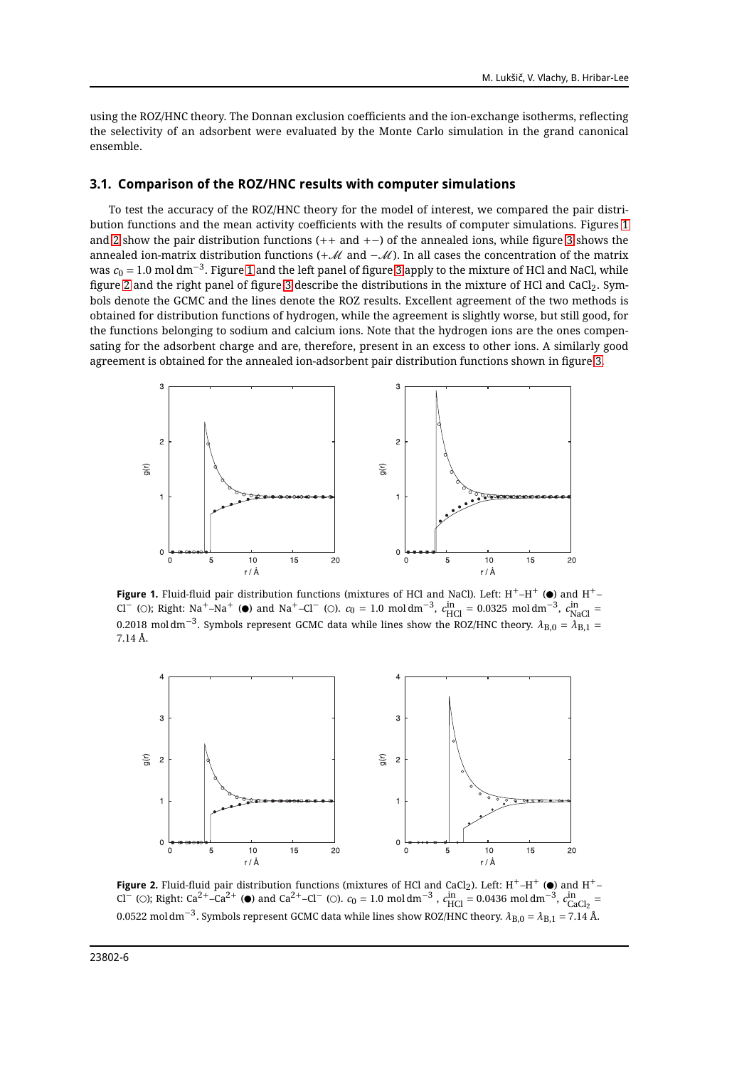using the ROZ/HNC theory. The Donnan exclusion coefficients and the ion-exchange isotherms, reflecting the selectivity of an adsorbent were evaluated by the Monte Carlo simulation in the grand canonical ensemble.

#### **3.1. Comparison of the ROZ/HNC results with computer simulations**

To test the accuracy of the ROZ/HNC theory for the model of interest, we compared the pair distribution functions and the mean activity coefficients with the results of computer simulations. Figures [1](#page-5-0) and [2](#page-5-1) show the pair distribution functions (++ and +−) of the annealed ions, while figure [3](#page-6-0) shows the annealed ion-matrix distribution functions (+M and −M). In all cases the concentration of the matrix was  $c_0 = 1.0$  $c_0 = 1.0$  $c_0 = 1.0$  mol $\,\mathrm{dm^{-3}}$ . Figure 1 and the left panel of figure [3](#page-6-0) apply to the mixture of HCl and NaCl, while figure [2](#page-5-1) and the right panel of figure [3](#page-6-0) describe the distributions in the mixture of HCl and CaCl<sub>2</sub>. Symbols denote the GCMC and the lines denote the ROZ results. Excellent agreement of the two methods is obtained for distribution functions of hydrogen, while the agreement is slightly worse, but still good, for the functions belonging to sodium and calcium ions. Note that the hydrogen ions are the ones compensating for the adsorbent charge and are, therefore, present in an excess to other ions. A similarly good agreement is obtained for the annealed ion-adsorbent pair distribution functions shown in figure [3.](#page-6-0)



<span id="page-5-0"></span>**Figure 1.** Fluid-fluid pair distribution functions (mixtures of HCl and NaCl). Left:  $H^+$ – $H^+$  ( $\bullet$ ) and  $H^+$ – Cl<sup>−</sup> (O); Right: Na<sup>+</sup>–Na<sup>+</sup> (●) and Na<sup>+</sup>–Cl<sup>−</sup> (O).  $c_0 = 1.0 \text{ mol dm}^{-3}$ ,  $c_{\text{HCl}}^{\text{in}} = 0.0325 \text{ mol dm}^{-3}$ ,  $c_{\text{NaCl}}^{\text{in}} =$ 0.2018 mol dm<sup>−3</sup>. Symbols represent GCMC data while lines show the ROZ/HNC theory.  $λ_{B,0} = λ_{B,1} =$ 7.14 Å.



<span id="page-5-1"></span>**Figure 2.** Fluid-fluid pair distribution functions (mixtures of HCl and CaCl<sub>2</sub>). Left: H<sup>+</sup>–H<sup>+</sup> ( $\bullet$ ) and H<sup>+</sup>– Cl<sup>−</sup> (○); Right: Ca<sup>2+</sup>–Ca<sup>2+</sup> (●) and Ca<sup>2+</sup>–Cl<sup>−</sup> (○).  $c_0 = 1.0 \text{ mol dm}^{-3}$ ,  $c_{\text{HCl}}^{\text{in}} = 0.0436 \text{ mol dm}^{-3}$ ,  $c_{\text{CaCl}_2}^{\text{in}} =$ 0.0522 mol dm−<sup>3</sup> . Symbols represent GCMC data while lines show ROZ/HNC theory. *λ*B,0 = *λ*B,1 = 7.14 Å.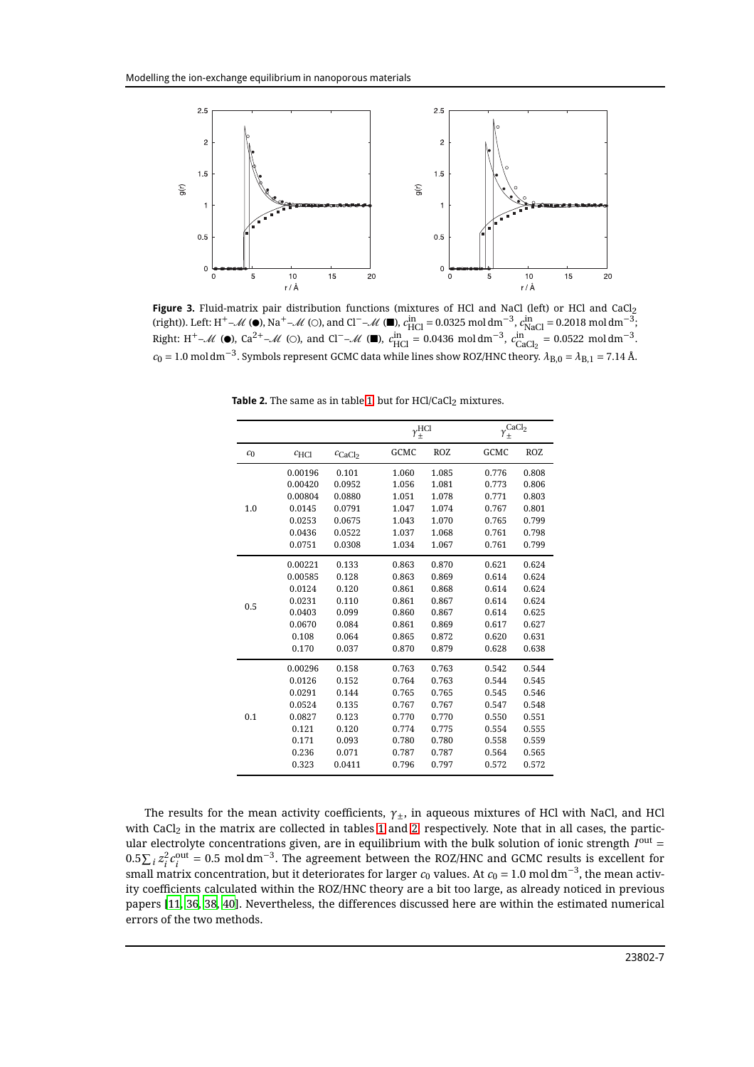

<span id="page-6-0"></span>Figure 3. Fluid-matrix pair distribution functions (mixtures of HCl and NaCl (left) or HCl and CaCl<sub>2</sub> (right)). Left: H<sup>+</sup>–M (●), Na<sup>+</sup>–M (○), and Cl<sup>-</sup>–M (■),  $c_{\text{HCl}}^{\text{in}} = 0.0325 \text{ mol dm}^{-3}$ ,  $c_{\text{NaCl}}^{\text{in}} = 0.2018 \text{ mol dm}^{-3}$ ; Right: H<sup>+</sup>–*M* (●), Ca<sup>2+</sup>–*M* (○), and Cl<sup>-</sup>–*M* (■),  $c_{\text{HCl}}^{\text{in}} = 0.0436 \text{ mol dm}^{-3}$ ,  $c_{\text{CaCl}_2}^{\text{in}} = 0.0522 \text{ mol dm}^{-3}$ .  $c_0 = 1.0$  mol dm<sup>−3</sup>. Symbols represent GCMC data while lines show ROZ/HNC theory.  $\lambda_{B,0} = \lambda_{B,1} = 7.14$  Å.

<span id="page-6-1"></span>

|                |                  |                     |       | $\gamma_\pm^{\rm HCl}$ |       | CaCl <sub>2</sub> |
|----------------|------------------|---------------------|-------|------------------------|-------|-------------------|
| c <sub>0</sub> | $c_{\text{HCl}}$ | $c_{\text{CaCl}_2}$ | GCMC  | <b>ROZ</b>             | GCMC  | <b>ROZ</b>        |
| 1.0            | 0.00196          | 0.101               | 1.060 | 1.085                  | 0.776 | 0.808             |
|                | 0.00420          | 0.0952              | 1.056 | 1.081                  | 0.773 | 0.806             |
|                | 0.00804          | 0.0880              | 1.051 | 1.078                  | 0.771 | 0.803             |
|                | 0.0145           | 0.0791              | 1.047 | 1.074                  | 0.767 | 0.801             |
|                | 0.0253           | 0.0675              | 1.043 | 1.070                  | 0.765 | 0.799             |
|                | 0.0436           | 0.0522              | 1.037 | 1.068                  | 0.761 | 0.798             |
|                | 0.0751           | 0.0308              | 1.034 | 1.067                  | 0.761 | 0.799             |
|                | 0.00221          | 0.133               | 0.863 | 0.870                  | 0.621 | 0.624             |
|                | 0.00585          | 0.128               | 0.863 | 0.869                  | 0.614 | 0.624             |
| 0.5            | 0.0124           | 0.120               | 0.861 | 0.868                  | 0.614 | 0.624             |
|                | 0.0231           | 0.110               | 0.861 | 0.867                  | 0.614 | 0.624             |
|                | 0.0403           | 0.099               | 0.860 | 0.867                  | 0.614 | 0.625             |
|                | 0.0670           | 0.084               | 0.861 | 0.869                  | 0.617 | 0.627             |
|                | 0.108            | 0.064               | 0.865 | 0.872                  | 0.620 | 0.631             |
|                | 0.170            | 0.037               | 0.870 | 0.879                  | 0.628 | 0.638             |
|                | 0.00296          | 0.158               | 0.763 | 0.763                  | 0.542 | 0.544             |
|                | 0.0126           | 0.152               | 0.764 | 0.763                  | 0.544 | 0.545             |
| 0.1            | 0.0291           | 0.144               | 0.765 | 0.765                  | 0.545 | 0.546             |
|                | 0.0524           | 0.135               | 0.767 | 0.767                  | 0.547 | 0.548             |
|                | 0.0827           | 0.123               | 0.770 | 0.770                  | 0.550 | 0.551             |
|                | 0.121            | 0.120               | 0.774 | 0.775                  | 0.554 | 0.555             |
|                | 0.171            | 0.093               | 0.780 | 0.780                  | 0.558 | 0.559             |
|                | 0.236            | 0.071               | 0.787 | 0.787                  | 0.564 | 0.565             |
|                | 0.323            | 0.0411              | 0.796 | 0.797                  | 0.572 | 0.572             |
|                |                  |                     |       |                        |       |                   |

**Table 2.** The same as in table [1,](#page-4-0) but for HCl/CaCl<sub>2</sub> mixtures.

The results for the mean activity coefficients, *γ*±, in aqueous mixtures of HCl with NaCl, and HCl with CaCl<sub>2</sub> in the matrix are collected in tables [1](#page-4-0) and [2,](#page-6-1) respectively. Note that in all cases, the particular electrolyte concentrations given, are in equilibrium with the bulk solution of ionic strength  $I<sup>out</sup> =$  $0.5 \sum_i z_i^2 c_i^{\text{out}} = 0.5 \text{ mol dm}^{-3}$ . The agreement between the ROZ/HNC and GCMC results is excellent for  $\sinh u$   $\sin^2 u$   $\sin^2 u$   $\sin^2 u$   $\sin^2 u$  is deteriorates for larger  $c_0$  values. At  $c_0 = 1.0$  mol dm $^{-3}$ , the mean activity coefficients calculated within the ROZ/HNC theory are a bit too large, as already noticed in previous papers [\[11](#page-10-7), [36,](#page-11-11) [38](#page-11-3), [40\]](#page-11-5). Nevertheless, the differences discussed here are within the estimated numerical errors of the two methods.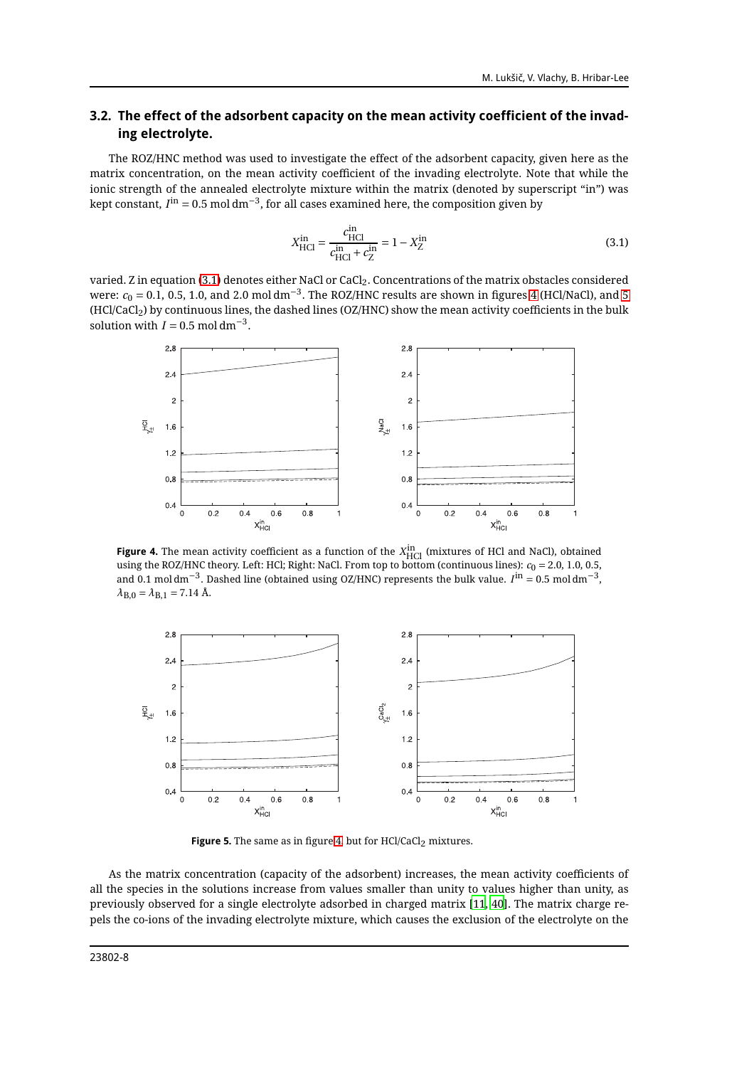#### **3.2. The effect of the adsorbent capacity on the mean activity coefficient of the invading electrolyte.**

The ROZ/HNC method was used to investigate the effect of the adsorbent capacity, given here as the matrix concentration, on the mean activity coefficient of the invading electrolyte. Note that while the ionic strength of the annealed electrolyte mixture within the matrix (denoted by superscript "in") was kept constant,  $I^{\text{in}} = 0.5$  mol dm $^{-3}$ , for all cases examined here, the composition given by

<span id="page-7-0"></span>
$$
X_{\rm HCl}^{\rm in} = \frac{c_{\rm HCl}^{\rm in}}{c_{\rm HCl}^{\rm in} + c_{\rm Z}^{\rm in}} = 1 - X_{\rm Z}^{\rm in}
$$
\n(3.1)

varied. Z in equation [\(3.1\)](#page-7-0) denotes either NaCl or CaCl2. Concentrations of the matrix obstacles considered were:  $c_0 = 0.1$ , 0.5, 1.0, and 2.0 mol dm $^{-3}$ . The ROZ/HNC results are shown in figures [4](#page-7-1) (HCl/NaCl), and [5](#page-7-2) (HCl/CaCl2) by continuous lines, the dashed lines (OZ/HNC) show the mean activity coefficients in the bulk solution with  $I = 0.5$  mol dm<sup>-3</sup>.



<span id="page-7-1"></span>**Figure 4.** The mean activity coefficient as a function of the  $X_{\text{HCI}}^{\text{in}}$  (mixtures of HCl and NaCl), obtained using the ROZ/HNC theory. Left: HCl; Right: NaCl. From top to bottom (continuous lines):  $c_0 = 2.0, 1.0, 0.5$ , and 0.1 mol dm<sup>−3</sup>. Dashed line (obtained using OZ/HNC) represents the bulk value. *I*<sup>in</sup> = 0.5 mol dm<sup>−3</sup>,  $\lambda_{B,0} = \lambda_{B,1} = 7.14$  Å.



<span id="page-7-2"></span>**Figure 5.** The same as in figure [4,](#page-7-1) but for HCl/CaCl<sub>2</sub> mixtures.

As the matrix concentration (capacity of the adsorbent) increases, the mean activity coefficients of all the species in the solutions increase from values smaller than unity to values higher than unity, as previously observed for a single electrolyte adsorbed in charged matrix [\[11](#page-10-7), [40\]](#page-11-5). The matrix charge repels the co-ions of the invading electrolyte mixture, which causes the exclusion of the electrolyte on the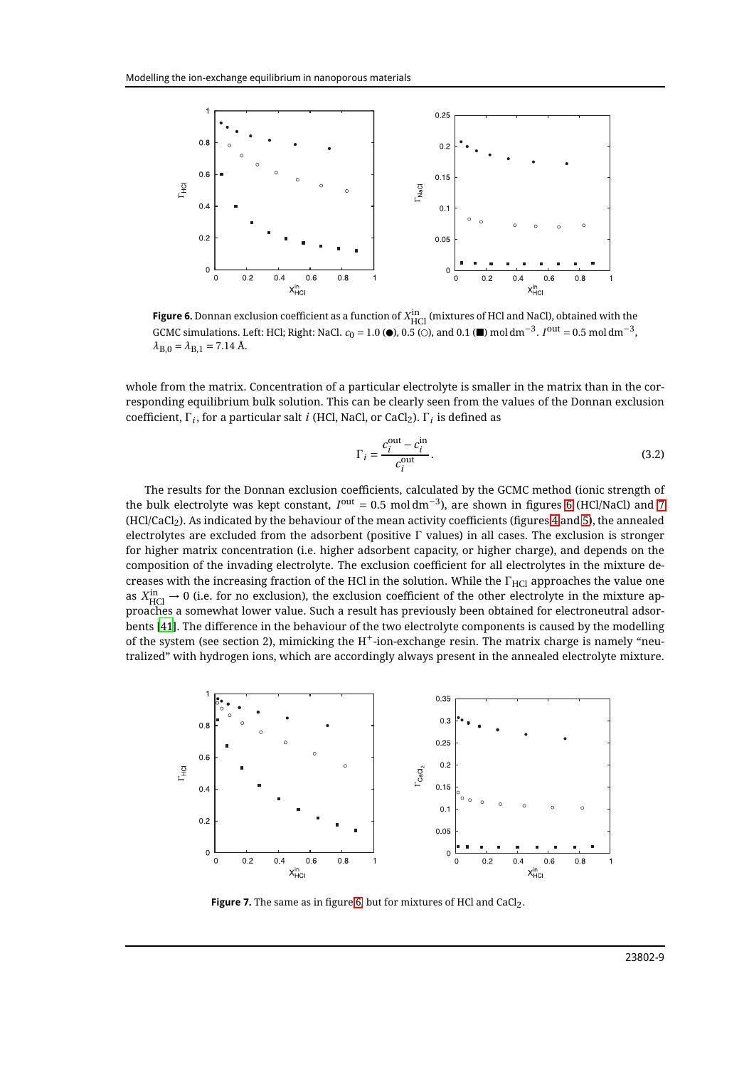

<span id="page-8-0"></span>**Figure 6.** Donnan exclusion coefficient as a function of  $X_{\rm{HCl}}^{\rm{in}}$  (mixtures of HCl and NaCl), obtained with the GCMC simulations. Left: HCl; Right: NaCl.  $c_0 = 1.0$  ( $\bullet$ ), 0.5 ( $\odot$ ), and 0.1 ( $\bullet$ ) mol dm<sup>-3</sup>.  $I^{out} = 0.5$  mol dm<sup>-3</sup>,  $\lambda_{B,0} = \lambda_{B,1} = 7.14$  Å.

whole from the matrix. Concentration of a particular electrolyte is smaller in the matrix than in the corresponding equilibrium bulk solution. This can be clearly seen from the values of the Donnan exclusion coefficient, Γ<sub>*i*</sub>, for a particular salt *i* (HCl, NaCl, or CaCl<sub>2</sub>). Γ<sub>*i*</sub> is defined as

$$
\Gamma_i = \frac{c_i^{\text{out}} - c_i^{\text{in}}}{c_i^{\text{out}}}.
$$
\n(3.2)

The results for the Donnan exclusion coefficients, calculated by the GCMC method (ionic strength of the bulk electrolyte was kept constant,  $I^{out} = 0.5 \text{ mol dm}^{-3}$ ), are shown in figures [6](#page-8-0) (HCl/NaCl) and [7](#page-8-1) (HCl/CaCl2). As indicated by the behaviour of the mean activity coefficients (figures [4](#page-7-1) and [5\)](#page-7-2), the annealed electrolytes are excluded from the adsorbent (positive Γ values) in all cases. The exclusion is stronger for higher matrix concentration (i.e. higher adsorbent capacity, or higher charge), and depends on the composition of the invading electrolyte. The exclusion coefficient for all electrolytes in the mixture decreases with the increasing fraction of the HCl in the solution. While the  $\Gamma_{\rm HC}$  approaches the value one as  $X_{\rm HCl}^{\rm in}\to 0$  (i.e. for no exclusion), the exclusion coefficient of the other electrolyte in the mixture approaches a somewhat lower value. Such a result has previously been obtained for electroneutral adsorbents [\[41](#page-11-6)]. The difference in the behaviour of the two electrolyte components is caused by the modelling of the system (see section 2), mimicking the  $H^+$ -ion-exchange resin. The matrix charge is namely "neutralized" with hydrogen ions, which are accordingly always present in the annealed electrolyte mixture.



<span id="page-8-1"></span>Figure 7. The same as in figure [6,](#page-8-0) but for mixtures of HCl and CaCl<sub>2</sub>.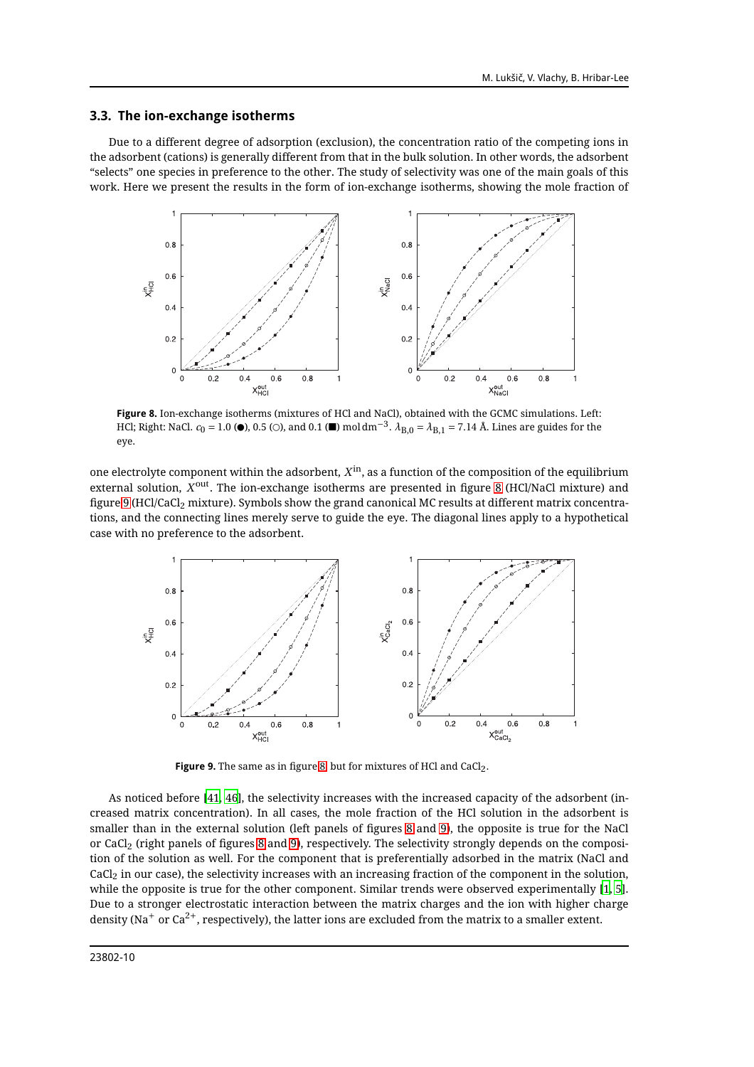#### **3.3. The ion-exchange isotherms**

Due to a different degree of adsorption (exclusion), the concentration ratio of the competing ions in the adsorbent (cations) is generally different from that in the bulk solution. In other words, the adsorbent "selects" one species in preference to the other. The study of selectivity was one of the main goals of this work. Here we present the results in the form of ion-exchange isotherms, showing the mole fraction of



<span id="page-9-0"></span>**Figure 8.** Ion-exchange isotherms (mixtures of HCl and NaCl), obtained with the GCMC simulations. Left: HCl; Right: NaCl.  $c_0 = 1.0$  ( $\bullet$ ), 0.5 ( $\circ$ ), and 0.1 ( $\bullet$ ) mol dm<sup>-3</sup>.  $\lambda_{B,0} = \lambda_{B,1} = 7.14$  Å. Lines are guides for the eye.

one electrolyte component within the adsorbent,  $X^{\rm in}$ , as a function of the composition of the equilibrium external solution,  $X^{\rm out}$ . The ion-exchange isotherms are presented in figure [8](#page-9-0) (HCl/NaCl mixture) and figure [9](#page-9-1) (HCl/CaCl<sub>2</sub> mixture). Symbols show the grand canonical MC results at different matrix concentrations, and the connecting lines merely serve to guide the eye. The diagonal lines apply to a hypothetical case with no preference to the adsorbent.



<span id="page-9-1"></span>**Figure 9.** The same as in figure [8,](#page-9-0) but for mixtures of HCl and CaCl<sub>2</sub>.

As noticed before [\[41](#page-11-6), [46\]](#page-11-13), the selectivity increases with the increased capacity of the adsorbent (increased matrix concentration). In all cases, the mole fraction of the HCl solution in the adsorbent is smaller than in the external solution (left panels of figures [8](#page-9-0) and [9\)](#page-9-1), the opposite is true for the NaCl or CaCl<sup>2</sup> (right panels of figures [8](#page-9-0) and [9\)](#page-9-1), respectively. The selectivity strongly depends on the composition of the solution as well. For the component that is preferentially adsorbed in the matrix (NaCl and CaCl2 in our case), the selectivity increases with an increasing fraction of the component in the solution, while the opposite is true for the other component. Similar trends were observed experimentally [\[1](#page-10-1), [5\]](#page-10-3). Due to a stronger electrostatic interaction between the matrix charges and the ion with higher charge density (Na<sup>+</sup> or Ca<sup>2+</sup>, respectively), the latter ions are excluded from the matrix to a smaller extent.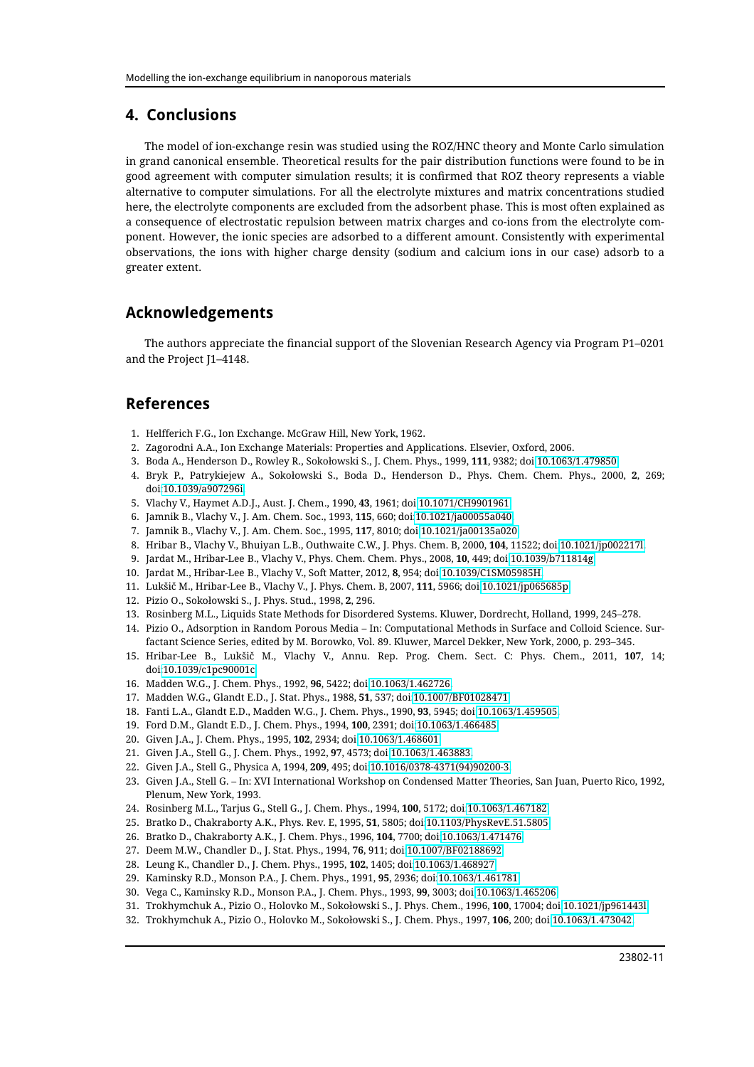## **4. Conclusions**

The model of ion-exchange resin was studied using the ROZ/HNC theory and Monte Carlo simulation in grand canonical ensemble. Theoretical results for the pair distribution functions were found to be in good agreement with computer simulation results; it is confirmed that ROZ theory represents a viable alternative to computer simulations. For all the electrolyte mixtures and matrix concentrations studied here, the electrolyte components are excluded from the adsorbent phase. This is most often explained as a consequence of electrostatic repulsion between matrix charges and co-ions from the electrolyte component. However, the ionic species are adsorbed to a different amount. Consistently with experimental observations, the ions with higher charge density (sodium and calcium ions in our case) adsorb to a greater extent.

## **Acknowledgements**

The authors appreciate the financial support of the Slovenian Research Agency via Program P1–0201 and the Project J1–4148.

## <span id="page-10-0"></span>**References**

- <span id="page-10-1"></span>1. Helfferich F.G., Ion Exchange. McGraw Hill, New York, 1962.
- 2. Zagorodni A.A., Ion Exchange Materials: Properties and Applications. Elsevier, Oxford, 2006.
- 3. Boda A., Henderson D., Rowley R., Sokołowski S., J. Chem. Phys., 1999, **111**, 9382; doi[:10.1063/1.479850.](http://dx.doi.org/10.1063/1.479850)
- <span id="page-10-2"></span>4. Bryk P., Patrykiejew A., Sokołowski S., Boda D., Henderson D., Phys. Chem. Chem. Phys., 2000, **2**, 269; doi[:10.1039/a907296i.](http://dx.doi.org/10.1039/a907296i)
- <span id="page-10-3"></span>5. Vlachy V., Haymet A.D.J., Aust. J. Chem., 1990, **43**, 1961; doi[:10.1071/CH9901961.](http://dx.doi.org/10.1071/CH9901961)
- <span id="page-10-4"></span>6. Jamnik B., Vlachy V., J. Am. Chem. Soc., 1993, **115**, 660; doi[:10.1021/ja00055a040.](http://dx.doi.org/10.1021/ja00055a040)
- 7. Jamnik B., Vlachy V., J. Am. Chem. Soc., 1995, **117**, 8010; doi[:10.1021/ja00135a020.](http://dx.doi.org/10.1021/ja00135a020)
- 8. Hribar B., Vlachy V., Bhuiyan L.B., Outhwaite C.W., J. Phys. Chem. B, 2000, **104**, 11522; doi[:10.1021/jp002217l.](http://dx.doi.org/10.1021/jp002217l)
- <span id="page-10-6"></span>9. Jardat M., Hribar-Lee B., Vlachy V., Phys. Chem. Chem. Phys., 2008, **10**, 449; doi[:10.1039/b711814g.](http://dx.doi.org/10.1039/b711814g)
- <span id="page-10-5"></span>10. Jardat M., Hribar-Lee B., Vlachy V., Soft Matter, 2012, **8**, 954; doi[:10.1039/C1SM05985H.](http://dx.doi.org/10.1039/C1SM05985H)
- <span id="page-10-7"></span>11. Lukšič M., Hribar-Lee B., Vlachy V., J. Phys. Chem. B, 2007, **111**, 5966; doi[:10.1021/jp065685p.](http://dx.doi.org/10.1021/jp065685p)
- <span id="page-10-8"></span>12. Pizio O., Sokołowski S., J. Phys. Stud., 1998, **2**, 296.
- 13. Rosinberg M.L., Liquids State Methods for Disordered Systems. Kluwer, Dordrecht, Holland, 1999, 245–278.
- 14. Pizio O., Adsorption in Random Porous Media In: Computational Methods in Surface and Colloid Science. Surfactant Science Series, edited by M. Borowko, Vol. 89. Kluwer, Marcel Dekker, New York, 2000, p. 293–345.
- <span id="page-10-9"></span>15. Hribar-Lee B., Lukšič M., Vlachy V., Annu. Rep. Prog. Chem. Sect. C: Phys. Chem., 2011, **107**, 14; doi[:10.1039/c1pc90001c.](http://dx.doi.org/10.1039/c1pc90001c)
- <span id="page-10-10"></span>16. Madden W.G., J. Chem. Phys., 1992, **96**, 5422; doi[:10.1063/1.462726.](http://dx.doi.org/10.1063/1.462726)
- <span id="page-10-23"></span>17. Madden W.G., Glandt E.D., J. Stat. Phys., 1988, **51**, 537; doi[:10.1007/BF01028471.](http://dx.doi.org/10.1007/BF01028471)
- 18. Fanti L.A., Glandt E.D., Madden W.G., J. Chem. Phys., 1990, **93**, 5945; doi[:10.1063/1.459505.](http://dx.doi.org/10.1063/1.459505)
- <span id="page-10-11"></span>19. Ford D.M., Glandt E.D., J. Chem. Phys., 1994, **100**, 2391; doi[:10.1063/1.466485.](http://dx.doi.org/10.1063/1.466485)
- <span id="page-10-12"></span>20. Given J.A., J. Chem. Phys., 1995, **102**, 2934; doi[:10.1063/1.468601.](http://dx.doi.org/10.1063/1.468601)
- 21. Given J.A., Stell G., J. Chem. Phys., 1992, **97**, 4573; doi[:10.1063/1.463883.](http://dx.doi.org/10.1063/1.463883)
- <span id="page-10-24"></span>22. Given J.A., Stell G., Physica A, 1994, **209**, 495; doi[:10.1016/0378-4371\(94\)90200-3.](http://dx.doi.org/10.1016/0378-4371(94)90200-3)
- <span id="page-10-13"></span>23. Given J.A., Stell G. – In: XVI International Workshop on Condensed Matter Theories, San Juan, Puerto Rico, 1992, Plenum, New York, 1993.
- <span id="page-10-14"></span>24. Rosinberg M.L., Tarjus G., Stell G., J. Chem. Phys., 1994, **100**, 5172; doi[:10.1063/1.467182.](http://dx.doi.org/10.1063/1.467182)
- <span id="page-10-15"></span>25. Bratko D., Chakraborty A.K., Phys. Rev. E, 1995, **51**, 5805; doi[:10.1103/PhysRevE.51.5805.](http://dx.doi.org/10.1103/PhysRevE.51.5805)
- <span id="page-10-16"></span>26. Bratko D., Chakraborty A.K., J. Chem. Phys., 1996, **104**, 7700; doi[:10.1063/1.471476.](http://dx.doi.org/10.1063/1.471476)
- <span id="page-10-17"></span>27. Deem M.W., Chandler D., J. Stat. Phys., 1994, **76**, 911; doi[:10.1007/BF02188692.](http://dx.doi.org/10.1007/BF02188692)
- <span id="page-10-18"></span>28. Leung K., Chandler D., J. Chem. Phys., 1995, **102**, 1405; doi[:10.1063/1.468927.](http://dx.doi.org/10.1063/1.468927)
- <span id="page-10-19"></span>29. Kaminsky R.D., Monson P.A., J. Chem. Phys., 1991, **95**, 2936; doi[:10.1063/1.461781.](http://dx.doi.org/10.1063/1.461781)
- <span id="page-10-20"></span>30. Vega C., Kaminsky R.D., Monson P.A., J. Chem. Phys., 1993, **99**, 3003; doi[:10.1063/1.465206.](http://dx.doi.org/10.1063/1.465206)
- <span id="page-10-21"></span>31. Trokhymchuk A., Pizio O., Holovko M., Sokołowski S., J. Phys. Chem., 1996, **100**, 17004; doi[:10.1021/jp961443l.](http://dx.doi.org/10.1021/jp961443l)
- <span id="page-10-22"></span>32. Trokhymchuk A., Pizio O., Holovko M., Sokołowski S., J. Chem. Phys., 1997, **106**, 200; doi[:10.1063/1.473042.](http://dx.doi.org/10.1063/1.473042)